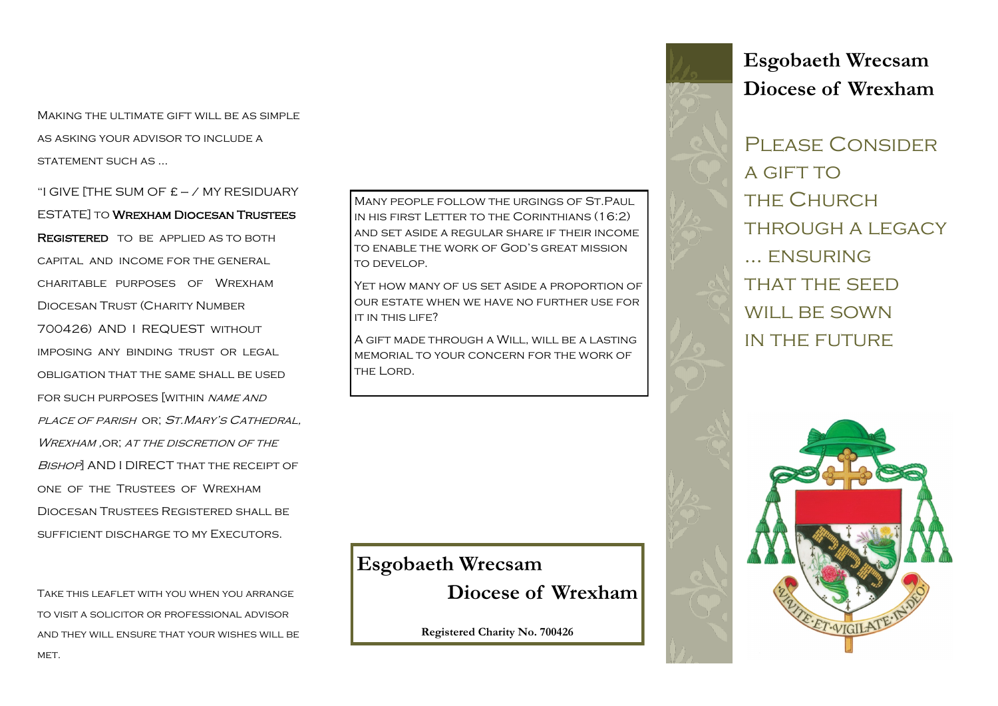MAKING THE ULTIMATE GIFT WILL BE AS SIMPLE as asking your advisor to include a statement such as …

"I GIVE ITHE SUM OF  $f - \angle$  MY RESIDUARY ESTATE] to Wrexham Diocesan Trustees REGISTERED TO BE APPLIED AS TO BOTH capital and income for the general charitable purposes of Wrexham DIOCESAN TRUST (CHARITY NUMBER 700426) AND I REQUEST without imposing any binding trust or legal obligation that the same shall be used for such purposes [within name and place of parish or; St.Mary's Cathedral, WREXHAM, OR; AT THE DISCRETION OF THE Bishop] AND I DIRECT that the receipt of one of the Trustees of Wrexham Diocesan Trustees Registered shall be sufficient discharge to my Executors.

Take this leaflet with you when you arrange to visit a solicitor or professional advisor and they will ensure that your wishes will be MET.

Many people follow the urgings of St.Paul IN HIS FIRST LETTER TO THE CORINTHIANS (16:2) and set aside a regular share if their income to enable the work of God's great mission TO DEVELOP.

Yet how many of us set aside a proportion of our estate when we have no further use for IT IN THIS LIFF?

A gift made through a Will, will be a lasting memorial to your concern for the work of THE LORD.

**Esgobaeth Wrecsam Diocese of Wrexham**

**Registered Charity No. 700426**



PLEASE CONSIDER a gift to THE CHURCH THROUGH A LEGACY … ensuring THAT THE SEED WILL BE SOWN in the future